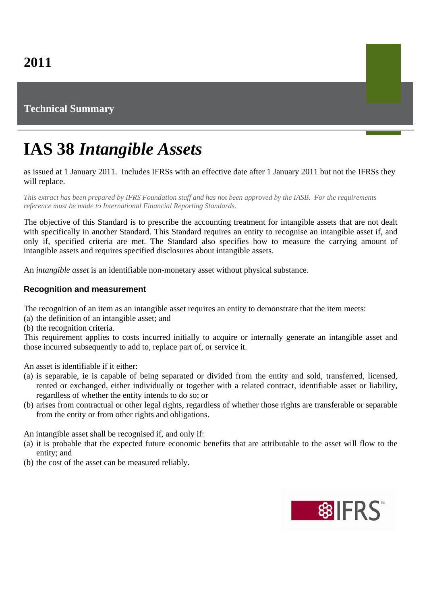# **Technical Summary**

# **IAS 38** *Intangible Assets*

as issued at 1 January 2011. Includes IFRSs with an effective date after 1 January 2011 but not the IFRSs they will replace.

*This extract has been prepared by IFRS Foundation staff and has not been approved by the IASB. For the requirements reference must be made to International Financial Reporting Standards.*

The objective of this Standard is to prescribe the accounting treatment for intangible assets that are not dealt with specifically in another Standard. This Standard requires an entity to recognise an intangible asset if, and only if, specified criteria are met. The Standard also specifies how to measure the carrying amount of intangible assets and requires specified disclosures about intangible assets.

An *intangible asset* is an identifiable non-monetary asset without physical substance.

### **Recognition and measurement**

The recognition of an item as an intangible asset requires an entity to demonstrate that the item meets:

(a) the definition of an intangible asset; and

(b) the recognition criteria.

This requirement applies to costs incurred initially to acquire or internally generate an intangible asset and those incurred subsequently to add to, replace part of, or service it.

An asset is identifiable if it either:

- (a) is separable, ie is capable of being separated or divided from the entity and sold, transferred, licensed, rented or exchanged, either individually or together with a related contract, identifiable asset or liability, regardless of whether the entity intends to do so; or
- (b) arises from contractual or other legal rights, regardless of whether those rights are transferable or separable from the entity or from other rights and obligations.

An intangible asset shall be recognised if, and only if:

- (a) it is probable that the expected future economic benefits that are attributable to the asset will flow to the entity; and
- (b) the cost of the asset can be measured reliably.

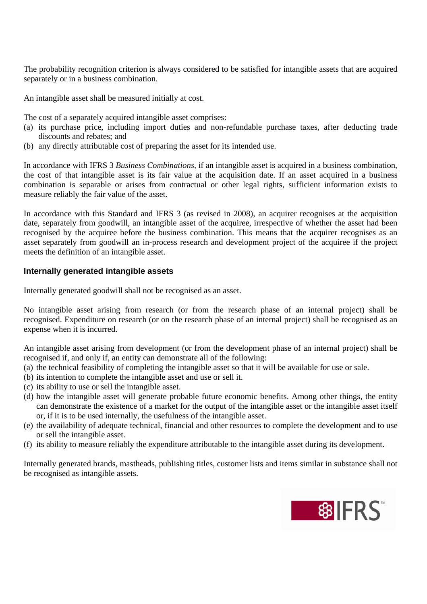The probability recognition criterion is always considered to be satisfied for intangible assets that are acquired separately or in a business combination.

An intangible asset shall be measured initially at cost.

The cost of a separately acquired intangible asset comprises:

- (a) its purchase price, including import duties and non-refundable purchase taxes, after deducting trade discounts and rebates; and
- (b) any directly attributable cost of preparing the asset for its intended use.

In accordance with IFRS 3 *Business Combinations*, if an intangible asset is acquired in a business combination, the cost of that intangible asset is its fair value at the acquisition date. If an asset acquired in a business combination is separable or arises from contractual or other legal rights, sufficient information exists to measure reliably the fair value of the asset.

In accordance with this Standard and IFRS 3 (as revised in 2008), an acquirer recognises at the acquisition date, separately from goodwill, an intangible asset of the acquiree, irrespective of whether the asset had been recognised by the acquiree before the business combination. This means that the acquirer recognises as an asset separately from goodwill an in-process research and development project of the acquiree if the project meets the definition of an intangible asset.

#### **Internally generated intangible assets**

Internally generated goodwill shall not be recognised as an asset.

No intangible asset arising from research (or from the research phase of an internal project) shall be recognised. Expenditure on research (or on the research phase of an internal project) shall be recognised as an expense when it is incurred.

An intangible asset arising from development (or from the development phase of an internal project) shall be recognised if, and only if, an entity can demonstrate all of the following:

- (a) the technical feasibility of completing the intangible asset so that it will be available for use or sale.
- (b) its intention to complete the intangible asset and use or sell it.
- (c) its ability to use or sell the intangible asset.
- (d) how the intangible asset will generate probable future economic benefits. Among other things, the entity can demonstrate the existence of a market for the output of the intangible asset or the intangible asset itself or, if it is to be used internally, the usefulness of the intangible asset.
- (e) the availability of adequate technical, financial and other resources to complete the development and to use or sell the intangible asset.
- (f) its ability to measure reliably the expenditure attributable to the intangible asset during its development.

Internally generated brands, mastheads, publishing titles, customer lists and items similar in substance shall not be recognised as intangible assets.

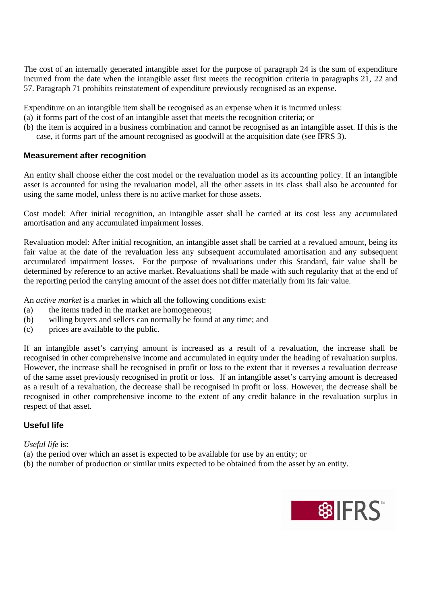The cost of an internally generated intangible asset for the purpose of paragraph 24 is the sum of expenditure incurred from the date when the intangible asset first meets the recognition criteria in paragraphs 21, 22 and 57. Paragraph 71 prohibits reinstatement of expenditure previously recognised as an expense.

Expenditure on an intangible item shall be recognised as an expense when it is incurred unless:

- (a) it forms part of the cost of an intangible asset that meets the recognition criteria; or
- (b) the item is acquired in a business combination and cannot be recognised as an intangible asset. If this is the case, it forms part of the amount recognised as goodwill at the acquisition date (see IFRS 3).

#### **Measurement after recognition**

An entity shall choose either the cost model or the revaluation model as its accounting policy. If an intangible asset is accounted for using the revaluation model, all the other assets in its class shall also be accounted for using the same model, unless there is no active market for those assets.

Cost model: After initial recognition, an intangible asset shall be carried at its cost less any accumulated amortisation and any accumulated impairment losses.

Revaluation model: After initial recognition, an intangible asset shall be carried at a revalued amount, being its fair value at the date of the revaluation less any subsequent accumulated amortisation and any subsequent accumulated impairment losses. For the purpose of revaluations under this Standard, fair value shall be determined by reference to an active market. Revaluations shall be made with such regularity that at the end of the reporting period the carrying amount of the asset does not differ materially from its fair value.

An *active market* is a market in which all the following conditions exist:

- (a) the items traded in the market are homogeneous;
- (b) willing buyers and sellers can normally be found at any time; and
- (c) prices are available to the public.

If an intangible asset's carrying amount is increased as a result of a revaluation, the increase shall be recognised in other comprehensive income and accumulated in equity under the heading of revaluation surplus. However, the increase shall be recognised in profit or loss to the extent that it reverses a revaluation decrease of the same asset previously recognised in profit or loss. If an intangible asset's carrying amount is decreased as a result of a revaluation, the decrease shall be recognised in profit or loss. However, the decrease shall be recognised in other comprehensive income to the extent of any credit balance in the revaluation surplus in respect of that asset.

#### **Useful life**

#### *Useful life* is:

- (a) the period over which an asset is expected to be available for use by an entity; or
- (b) the number of production or similar units expected to be obtained from the asset by an entity.

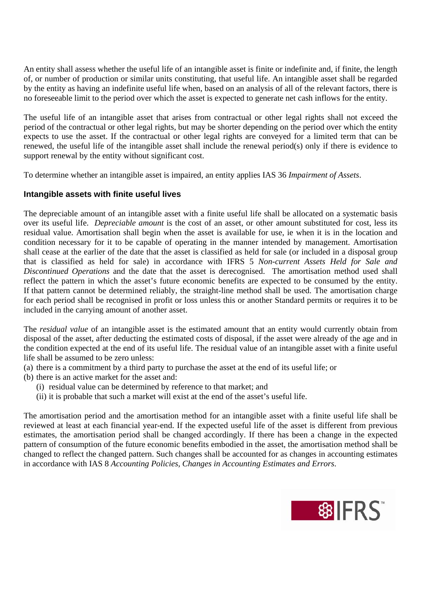An entity shall assess whether the useful life of an intangible asset is finite or indefinite and, if finite, the length of, or number of production or similar units constituting, that useful life. An intangible asset shall be regarded by the entity as having an indefinite useful life when, based on an analysis of all of the relevant factors, there is no foreseeable limit to the period over which the asset is expected to generate net cash inflows for the entity.

The useful life of an intangible asset that arises from contractual or other legal rights shall not exceed the period of the contractual or other legal rights, but may be shorter depending on the period over which the entity expects to use the asset. If the contractual or other legal rights are conveyed for a limited term that can be renewed, the useful life of the intangible asset shall include the renewal period(s) only if there is evidence to support renewal by the entity without significant cost.

To determine whether an intangible asset is impaired, an entity applies IAS 36 *Impairment of Assets*.

# **Intangible assets with finite useful lives**

The depreciable amount of an intangible asset with a finite useful life shall be allocated on a systematic basis over its useful life. *Depreciable amount* is the cost of an asset, or other amount substituted for cost, less its residual value. Amortisation shall begin when the asset is available for use, ie when it is in the location and condition necessary for it to be capable of operating in the manner intended by management. Amortisation shall cease at the earlier of the date that the asset is classified as held for sale (or included in a disposal group that is classified as held for sale) in accordance with IFRS 5 *Non-current Assets Held for Sale and Discontinued Operations* and the date that the asset is derecognised. The amortisation method used shall reflect the pattern in which the asset's future economic benefits are expected to be consumed by the entity. If that pattern cannot be determined reliably, the straight-line method shall be used. The amortisation charge for each period shall be recognised in profit or loss unless this or another Standard permits or requires it to be included in the carrying amount of another asset.

The *residual value* of an intangible asset is the estimated amount that an entity would currently obtain from disposal of the asset, after deducting the estimated costs of disposal, if the asset were already of the age and in the condition expected at the end of its useful life. The residual value of an intangible asset with a finite useful life shall be assumed to be zero unless:

- (a) there is a commitment by a third party to purchase the asset at the end of its useful life; or
- (b) there is an active market for the asset and:
	- (i) residual value can be determined by reference to that market; and
	- (ii) it is probable that such a market will exist at the end of the asset's useful life.

The amortisation period and the amortisation method for an intangible asset with a finite useful life shall be reviewed at least at each financial year-end. If the expected useful life of the asset is different from previous estimates, the amortisation period shall be changed accordingly. If there has been a change in the expected pattern of consumption of the future economic benefits embodied in the asset, the amortisation method shall be changed to reflect the changed pattern. Such changes shall be accounted for as changes in accounting estimates in accordance with IAS 8 *Accounting Policies, Changes in Accounting Estimates and Errors*.